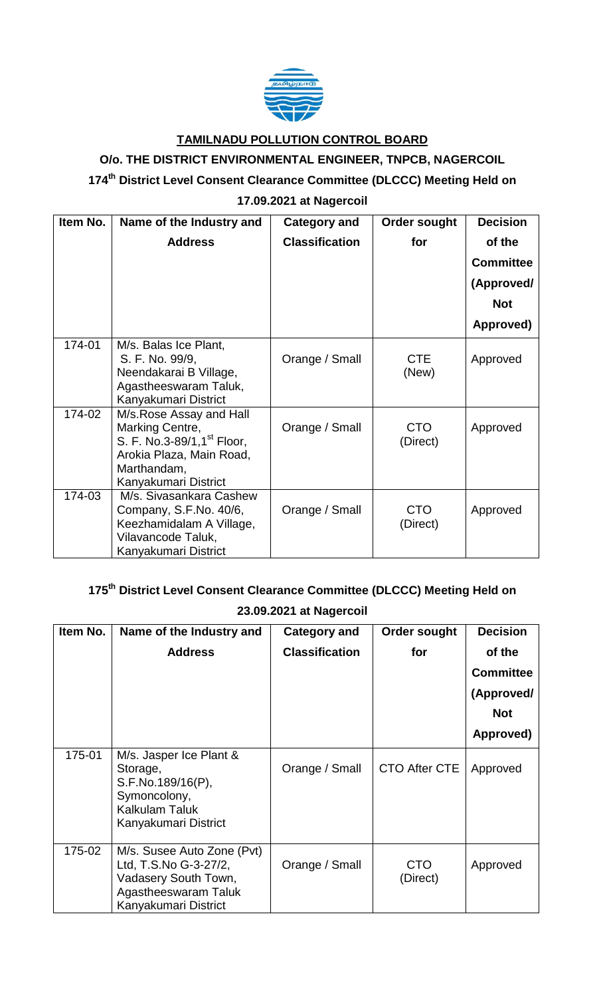

### **TAMILNADU POLLUTION CONTROL BOARD**

# **O/o. THE DISTRICT ENVIRONMENTAL ENGINEER, TNPCB, NAGERCOIL**

#### **174 th District Level Consent Clearance Committee (DLCCC) Meeting Held on**

# **17.09.2021 at Nagercoil**

| Item No. | Name of the Industry and                                                                                                                                 | Category and          | <b>Order sought</b>    | <b>Decision</b>  |
|----------|----------------------------------------------------------------------------------------------------------------------------------------------------------|-----------------------|------------------------|------------------|
|          | <b>Address</b>                                                                                                                                           | <b>Classification</b> | for                    | of the           |
|          |                                                                                                                                                          |                       |                        | <b>Committee</b> |
|          |                                                                                                                                                          |                       |                        | (Approved/       |
|          |                                                                                                                                                          |                       |                        | <b>Not</b>       |
|          |                                                                                                                                                          |                       |                        | Approved)        |
| 174-01   | M/s. Balas Ice Plant,<br>S. F. No. 99/9,<br>Neendakarai B Village,<br>Agastheeswaram Taluk,<br>Kanyakumari District                                      | Orange / Small        | <b>CTE</b><br>(New)    | Approved         |
| 174-02   | M/s. Rose Assay and Hall<br>Marking Centre,<br>S. F. No.3-89/1,1 <sup>st</sup> Floor,<br>Arokia Plaza, Main Road,<br>Marthandam,<br>Kanyakumari District | Orange / Small        | <b>CTO</b><br>(Direct) | Approved         |
| 174-03   | M/s. Sivasankara Cashew<br>Company, S.F.No. 40/6,<br>Keezhamidalam A Village,<br>Vilavancode Taluk,<br>Kanyakumari District                              | Orange / Small        | <b>CTO</b><br>(Direct) | Approved         |

# **175th District Level Consent Clearance Committee (DLCCC) Meeting Held on**

#### **23.09.2021 at Nagercoil**

| Item No. | Name of the Industry and                                                                                                    | <b>Category and</b>   | <b>Order sought</b>    | <b>Decision</b>  |
|----------|-----------------------------------------------------------------------------------------------------------------------------|-----------------------|------------------------|------------------|
|          | <b>Address</b>                                                                                                              | <b>Classification</b> | for                    | of the           |
|          |                                                                                                                             |                       |                        | <b>Committee</b> |
|          |                                                                                                                             |                       |                        | (Approved/       |
|          |                                                                                                                             |                       |                        | <b>Not</b>       |
|          |                                                                                                                             |                       |                        | Approved)        |
| 175-01   | M/s. Jasper Ice Plant &<br>Storage,<br>S.F.No.189/16(P),<br>Symoncolony,<br><b>Kalkulam Taluk</b><br>Kanyakumari District   | Orange / Small        | CTO After CTE          | Approved         |
| 175-02   | M/s. Susee Auto Zone (Pvt)<br>Ltd, T.S.No G-3-27/2,<br>Vadasery South Town,<br>Agastheeswaram Taluk<br>Kanyakumari District | Orange / Small        | <b>CTO</b><br>(Direct) | Approved         |